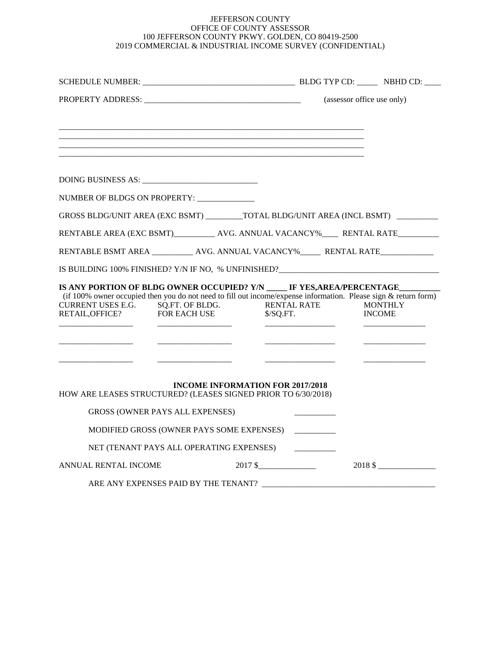## JEFFERSON COUNTY OFFICE OF COUNTY ASSESSOR 100 JEFFERSON COUNTY PKWY. GOLDEN, CO 80419-2500 2019 COMMERCIAL & INDUSTRIAL INCOME SURVEY (CONFIDENTIAL)

|                                                      |                                                                                                                                                                                                                        |                                                                                                                                                 | (assessor office use only)                                                           |  |
|------------------------------------------------------|------------------------------------------------------------------------------------------------------------------------------------------------------------------------------------------------------------------------|-------------------------------------------------------------------------------------------------------------------------------------------------|--------------------------------------------------------------------------------------|--|
|                                                      |                                                                                                                                                                                                                        |                                                                                                                                                 |                                                                                      |  |
|                                                      |                                                                                                                                                                                                                        |                                                                                                                                                 |                                                                                      |  |
|                                                      | NUMBER OF BLDGS ON PROPERTY:                                                                                                                                                                                           |                                                                                                                                                 |                                                                                      |  |
|                                                      | GROSS BLDG/UNIT AREA (EXC BSMT) _________TOTAL BLDG/UNIT AREA (INCL BSMT) ________                                                                                                                                     |                                                                                                                                                 |                                                                                      |  |
|                                                      | RENTABLE AREA (EXC BSMT)____________ AVG. ANNUAL VACANCY%______ RENTAL RATE__________                                                                                                                                  |                                                                                                                                                 |                                                                                      |  |
|                                                      |                                                                                                                                                                                                                        |                                                                                                                                                 |                                                                                      |  |
|                                                      |                                                                                                                                                                                                                        |                                                                                                                                                 |                                                                                      |  |
| CURRENT USES E.G. SQ.FT. OF BLDG.<br>RETAIL, OFFICE? | IS ANY PORTION OF BLDG OWNER OCCUPIED? Y/N _____ IF YES,AREA/PERCENTAGE_________<br>(if $100\%$ owner occupied then you do not need to fill out income/expense information. Please sign & return form)<br>FOR EACH USE | <b>RENTAL RATE</b><br>\$/SQ.FT.<br><u> 1999 - Andrew Marian, Amerikaansk politiker (</u><br><u> 1980 - Jan Alexandro III, politik politik (</u> | <b>MONTHLY</b><br><b>INCOME</b><br><u> 1986 - Jan Barbara, masonar a shekara 198</u> |  |
|                                                      | <b>INCOME INFORMATION FOR 2017/2018</b><br>HOW ARE LEASES STRUCTURED? (LEASES SIGNED PRIOR TO 6/30/2018)                                                                                                               |                                                                                                                                                 |                                                                                      |  |
|                                                      | <b>GROSS (OWNER PAYS ALL EXPENSES)</b>                                                                                                                                                                                 |                                                                                                                                                 |                                                                                      |  |
|                                                      | MODIFIED GROSS (OWNER PAYS SOME EXPENSES)                                                                                                                                                                              |                                                                                                                                                 |                                                                                      |  |
|                                                      | NET (TENANT PAYS ALL OPERATING EXPENSES)                                                                                                                                                                               |                                                                                                                                                 |                                                                                      |  |
| ANNUAL RENTAL INCOME                                 |                                                                                                                                                                                                                        | $2017 \frac{\text{S}}{\text{S}}$                                                                                                                | $2018 \;$ \$                                                                         |  |
|                                                      | ARE ANY EXPENSES PAID BY THE TENANT?                                                                                                                                                                                   |                                                                                                                                                 |                                                                                      |  |